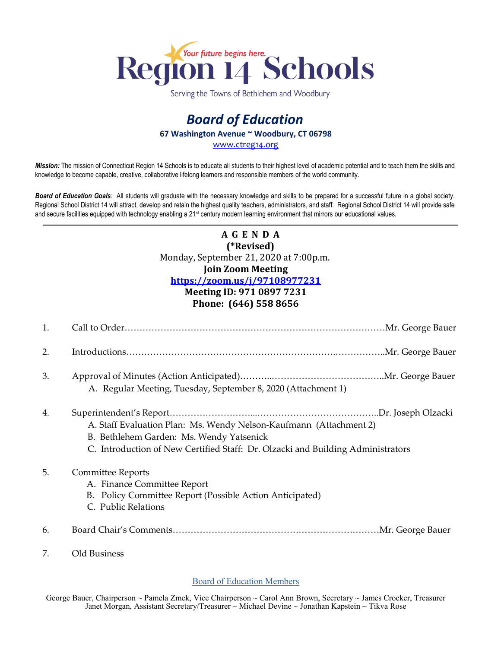

Serving the Towns of Bethlehem and Woodbury

## *Board of Education* **67 Washington Avenue ~ Woodbury, CT 06798** [www.ctreg14.org](http://www.ctreg14.org/)

*Mission:* The mission of Connecticut Region 14 Schools is to educate all students to their highest level of academic potential and to teach them the skills and knowledge to become capable, creative, collaborative lifelong learners and responsible members of the world community.

*Board of Education Goals:* All students will graduate with the necessary knowledge and skills to be prepared for a successful future in a global society. Regional School District 14 will attract, develop and retain the highest quality teachers, administrators, and staff. Regional School District 14 will provide safe and secure facilities equipped with technology enabling a 21<sup>st</sup> century modern learning environment that mirrors our educational values.

## **A G E N D A (\*Revised)** Monday, September 21, 2020 at 7:00p.m. **Join Zoom Meeting <https://zoom.us/j/97108977231> Meeting ID: 971 0897 7231 Phone: (646) 558 8656**

| 1. |                                                                                                                                                                                                   |
|----|---------------------------------------------------------------------------------------------------------------------------------------------------------------------------------------------------|
| 2. |                                                                                                                                                                                                   |
| 3. | A. Regular Meeting, Tuesday, September 8, 2020 (Attachment 1)                                                                                                                                     |
| 4. | A. Staff Evaluation Plan: Ms. Wendy Nelson-Kaufmann (Attachment 2)<br>B. Bethlehem Garden: Ms. Wendy Yatsenick<br>C. Introduction of New Certified Staff: Dr. Olzacki and Building Administrators |
| 5. | <b>Committee Reports</b><br>A. Finance Committee Report<br>B. Policy Committee Report (Possible Action Anticipated)<br>C. Public Relations                                                        |
| 6. |                                                                                                                                                                                                   |
| 7. | Old Business                                                                                                                                                                                      |

## Board of Education Members

George Bauer, Chairperson ~ Pamela Zmek, Vice Chairperson ~ Carol Ann Brown, Secretary ~ James Crocker, Treasurer Janet Morgan, Assistant Secretary/Treasurer ~ Michael Devine ~ Jonathan Kapstein ~ Tikva Rose